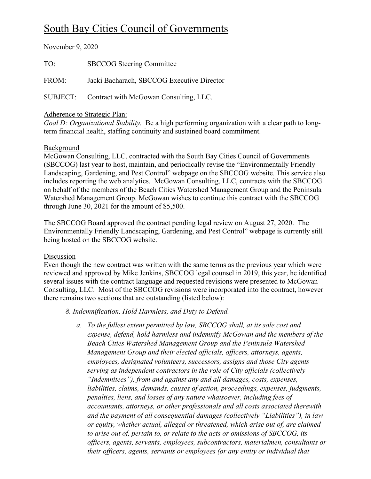# South Bay Cities Council of Governments

November 9, 2020

TO: SBCCOG Steering Committee FROM: Jacki Bacharach, SBCCOG Executive Director SUBJECT: Contract with McGowan Consulting, LLC.

#### Adherence to Strategic Plan:

*Goal D: Organizational Stability.* Be a high performing organization with a clear path to longterm financial health, staffing continuity and sustained board commitment.

#### Background

McGowan Consulting, LLC, contracted with the South Bay Cities Council of Governments (SBCCOG) last year to host, maintain, and periodically revise the "Environmentally Friendly Landscaping, Gardening, and Pest Control" webpage on the SBCCOG website. This service also includes reporting the web analytics. McGowan Consulting, LLC, contracts with the SBCCOG on behalf of the members of the Beach Cities Watershed Management Group and the Peninsula Watershed Management Group. McGowan wishes to continue this contract with the SBCCOG through June 30, 2021 for the amount of \$5,500.

The SBCCOG Board approved the contract pending legal review on August 27, 2020. The Environmentally Friendly Landscaping, Gardening, and Pest Control" webpage is currently still being hosted on the SBCCOG website.

#### Discussion

Even though the new contract was written with the same terms as the previous year which were reviewed and approved by Mike Jenkins, SBCCOG legal counsel in 2019, this year, he identified several issues with the contract language and requested revisions were presented to McGowan Consulting, LLC. Most of the SBCCOG revisions were incorporated into the contract, however there remains two sections that are outstanding (listed below):

### *8. Indemnification, Hold Harmless, and Duty to Defend.*

*a. To the fullest extent permitted by law, SBCCOG shall, at its sole cost and expense, defend, hold harmless and indemnify McGowan and the members of the Beach Cities Watershed Management Group and the Peninsula Watershed Management Group and their elected officials, officers, attorneys, agents, employees, designated volunteers, successors, assigns and those City agents serving as independent contractors in the role of City officials (collectively "Indemnitees"), from and against any and all damages, costs, expenses, liabilities, claims, demands, causes of action, proceedings, expenses, judgments, penalties, liens, and losses of any nature whatsoever, including fees of accountants, attorneys, or other professionals and all costs associated therewith and the payment of all consequential damages (collectively "Liabilities"), in law or equity, whether actual, alleged or threatened, which arise out of, are claimed to arise out of, pertain to, or relate to the acts or omissions of SBCCOG, its officers, agents, servants, employees, subcontractors, materialmen, consultants or their officers, agents, servants or employees (or any entity or individual that*